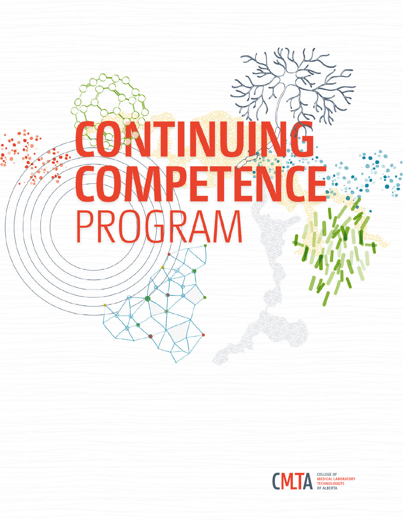

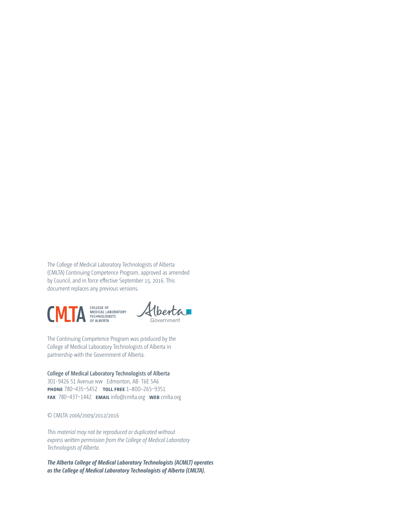The College of Medical Laboratory Technologists of Alberta (CMLTA) Continuing Competence Program, approved as amended by Council, and in force effective September 15, 2016. This document replaces any previous versions.





The Continuing Competence Program was produced by the College of Medical Laboratory Technologists of Alberta in partnership with the Government of Alberta.

### **College of Medical Laboratory Technologists of Alberta** 301-9426 51 Avenue nw Edmonton, AB T6E 5A6 **phone** 780–435–5452 **toll free** 1–800–265–9351 **fax** 780–437–1442 **email** info@cmlta.org **web** cmlta.org

### © CMLTA 2006/2009/2012/2016

*This material may not be reproduced or duplicated without express written permission from the College of Medical Laboratory Technologists of Alberta.*

*The Alberta College of Medical Laboratory Technologists (ACMLT) operates as the College of Medical Laboratory Technologists of Alberta (CMLTA).*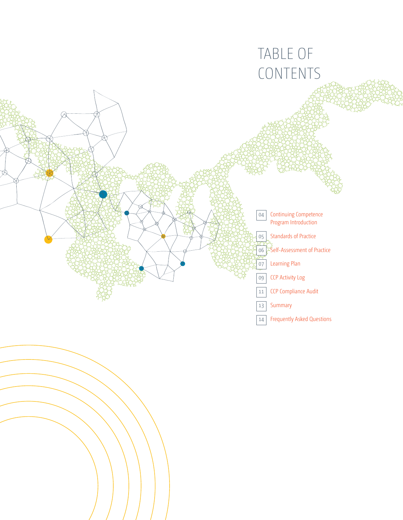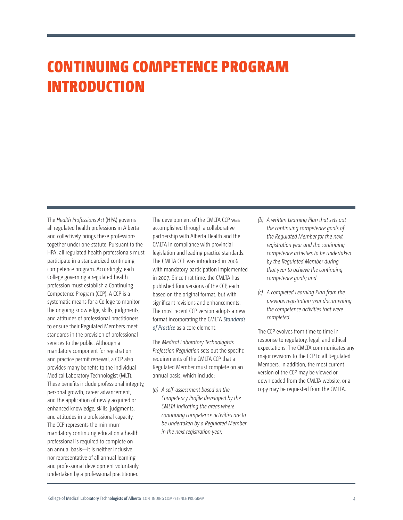# CONTINUING COMPETENCE PROGRAM INTRODUCTION

The *Health Professions Act* (HPA) governs all regulated health professions in Alberta and collectively brings these professions together under one statute. Pursuant to the HPA, all regulated health professionals must participate in a standardized continuing competence program. Accordingly, each College governing a regulated health profession must establish a Continuing Competence Program (CCP). A CCP is a systematic means for a College to monitor the ongoing knowledge, skills, judgments, and attitudes of professional practitioners to ensure their Regulated Members meet standards in the provision of professional services to the public. Although a mandatory component for registration and practice permit renewal, a CCP also provides many benefits to the individual Medical Laboratory Technologist (MLT). These benefits include professional integrity, personal growth, career advancement, and the application of newly acquired or enhanced knowledge, skills, judgments, and attitudes in a professional capacity. The CCP represents the minimum mandatory continuing education a health professional is required to complete on an annual basis—it is neither inclusive nor representative of all annual learning and professional development voluntarily undertaken by a professional practitioner.

The development of the CMLTA CCP was accomplished through a collaborative partnership with Alberta Health and the CMLTA in compliance with provincial legislation and leading practice standards. The CMLTA CCP was introduced in 2006 with mandatory participation implemented in 2007. Since that time, the CMLTA has published four versions of the CCP, each based on the original format, but with significant revisions and enhancements. The most recent CCP version adopts a new format incorporating the CMLTA *[Standards](http://cmlta.org/home/practice-resources/standards-of-practice/)  [of Practice](http://cmlta.org/home/practice-resources/standards-of-practice/)* as a core element.

The *Medical Laboratory Technologists Profession Regulation* sets out the specific requirements of the CMLTA CCP that a Regulated Member must complete on an annual basis, which include:

*(a) A self-assessment based on the Competency Profile developed by the CMLTA indicating the areas where continuing competence activities are to be undertaken by a Regulated Member in the next registration year;*

- *(b) A written Learning Plan that sets out the continuing competence goals of the Regulated Member for the next registration year and the continuing competence activities to be undertaken by the Regulated Member during that year to achieve the continuing competence goals; and*
- *(c) A completed Learning Plan from the previous registration year documenting the competence activities that were completed.*

The CCP evolves from time to time in response to regulatory, legal, and ethical expectations. The CMLTA communicates any major revisions to the CCP to all Regulated Members. In addition, the most current version of the CCP may be viewed or downloaded from the CMLTA website, or a copy may be requested from the CMLTA.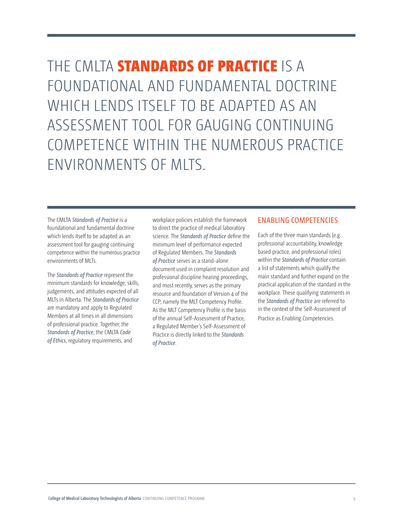THE CMLTA **STANDARDS OF PRACTICE** IS A FOUNDATIONAL AND FUNDAMENTAL DOCTRINE WHICH LENDS ITSELF TO BE ADAPTED AS AN ASSESSMENT TOOL FOR GAUGING CONTINUING COMPETENCE WITHIN THE NUMEROUS PRACTICE ENVIRONMENTS OF MLTS.

The CMLTA *[Standards of Practice](http://cmlta.org/home/practice-resources/standards-of-practice/)* is a foundational and fundamental doctrine which lends itself to be adapted as an assessment tool for gauging continuing competence within the numerous practice environments of MLTs.

The *[Standards of Practice](http://cmlta.org/home/practice-resources/standards-of-practice/)* represent the minimum standards for knowledge, skills, judgements, and attitudes expected of all MLTs in Alberta. The *[Standards of Practice](http://cmlta.org/home/practice-resources/standards-of-practice/)* are mandatory and apply to Regulated Members at all times in all dimensions of professional practice. Together; the *[Standards of Practice](http://cmlta.org/home/practice-resources/standards-of-practice/)*, the CMLTA *[Code](http://cmlta.org/home/practice-resources/code-of-ethics/)  [of Ethics](http://cmlta.org/home/practice-resources/code-of-ethics/)*, regulatory requirements, and

workplace policies establish the framework to direct the practice of medical laboratory science. The *[Standards of Practice](http://cmlta.org/home/practice-resources/standards-of-practice/)* define the minimum level of performance expected of Regulated Members. The *[Standards](http://cmlta.org/home/practice-resources/standards-of-practice/)  [of Practice](http://cmlta.org/home/practice-resources/standards-of-practice/)* serves as a stand-alone document used in complaint resolution and professional discipline hearing proceedings, and most recently, serves as the primary resource and foundation of Version 4 of the CCP; namely the MLT Competency Profile. As the MLT Competency Profile is the basis of the annual Self-Assessment of Practice, a Regulated Member's Self-Assessment of Practice is directly linked to the *[Standards](http://cmlta.org/home/practice-resources/standards-of-practice/)  [of Practice](http://cmlta.org/home/practice-resources/standards-of-practice/)*.

### ENABLING COMPETENCIES

Each of the three main standards (e.g. professional accountability, knowledge based practice, and professional roles) within the *[Standards of Practice](http://cmlta.org/home/practice-resources/standards-of-practice/)* contain a list of statements which qualify the main standard and further expand on the practical application of the standard in the workplace. These qualifying statements in the *[Standards of Practice](http://cmlta.org/home/practice-resources/standards-of-practice/)* are referred to in the context of the Self-Assessment of Practice as Enabling Competencies.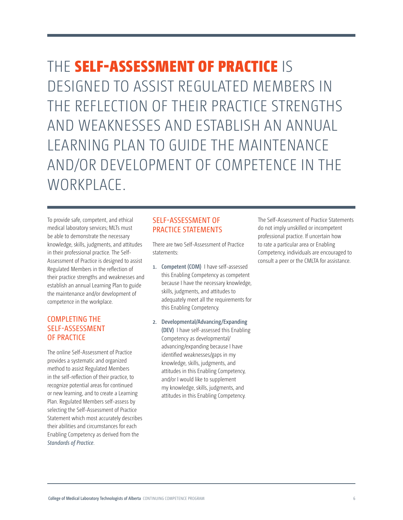THE SELF-ASSESSMENT OF PRACTICE IS DESIGNED TO ASSIST REGULATED MEMBERS IN THE REFLECTION OF THEIR PRACTICE STRENGTHS AND WEAKNESSES AND ESTABLISH AN ANNUAL LEARNING PLAN TO GUIDE THE MAINTENANCE AND/OR DEVELOPMENT OF COMPETENCE IN THE WORKPLACE.

To provide safe, competent, and ethical medical laboratory services; MLTs must be able to demonstrate the necessary knowledge, skills, judgments, and attitudes in their professional practice. The Self-Assessment of Practice is designed to assist Regulated Members in the reflection of their practice strengths and weaknesses and establish an annual Learning Plan to guide the maintenance and/or development of competence in the workplace.

# COMPLETING THE SELF-ASSESSMENT OF PRACTICE

The online Self-Assessment of Practice provides a systematic and organized method to assist Regulated Members in the self-reflection of their practice, to recognize potential areas for continued or new learning, and to create a Learning Plan. Regulated Members self-assess by selecting the Self-Assessment of Practice Statement which most accurately describes their abilities and circumstances for each Enabling Competency as derived from the *[Standards of Practice](http://Standards of Practice)*.

# SELF-ASSESSMENT OF PRACTICE STATEMENTS

There are two Self-Assessment of Practice statements:

- **1. Competent (COM)** I have self-assessed this Enabling Competency as competent because I have the necessary knowledge, skills, judgments, and attitudes to adequately meet all the requirements for this Enabling Competency.
- **2. Developmental/Advancing/Expanding (DEV)** I have self-assessed this Enabling Competency as developmental/ advancing/expanding because I have identified weaknesses/gaps in my knowledge, skills, judgments, and attitudes in this Enabling Competency, and/or I would like to supplement my knowledge, skills, judgments, and attitudes in this Enabling Competency.

The Self-Assessment of Practice Statements do not imply unskilled or incompetent professional practice. If uncertain how to rate a particular area or Enabling Competency, individuals are encouraged to consult a peer or the CMLTA for assistance.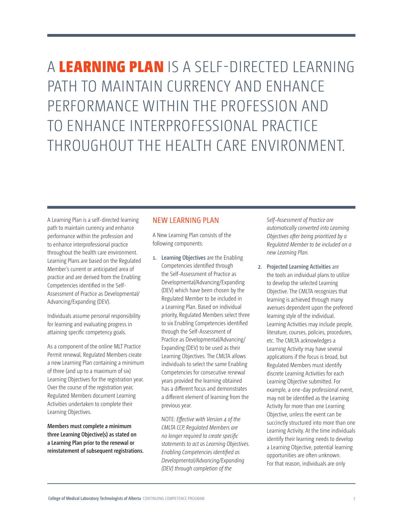A LEARNING PLAN IS A SELF-DIRECTED LEARNING PATH TO MAINTAIN CURRENCY AND ENHANCE PERFORMANCE WITHIN THE PROFESSION AND TO ENHANCE INTERPROFESSIONAL PRACTICE THROUGHOUT THE HEALTH CARE ENVIRONMENT.

A Learning Plan is a self-directed learning path to maintain currency and enhance performance within the profession and to enhance interprofessional practice throughout the health care environment. Learning Plans are based on the Regulated Member's current or anticipated area of practice and are derived from the Enabling Competencies identified in the Self-Assessment of Practice as Developmental/ Advancing/Expanding (DEV).

Individuals assume personal responsibility for learning and evaluating progress in attaining specific competency goals.

As a component of the online MLT Practice Permit renewal, Regulated Members create a new Learning Plan containing a minimum of three (and up to a maximum of six) Learning Objectives for the registration year. Over the course of the registration year, Regulated Members document Learning Activities undertaken to complete their Learning Objectives.

**Members must complete a minimum three Learning Objective(s) as stated on a Learning Plan prior to the renewal or reinstatement of subsequent registrations.** 

## NEW LEARNING PLAN

A New Learning Plan consists of the following components:

**1. Learning Objectives** are the Enabling Competencies identified through the Self-Assessment of Practice as Developmental/Advancing/Expanding (DEV) which have been chosen by the Regulated Member to be included in a Learning Plan. Based on individual priority, Regulated Members select three to six Enabling Competencies identified through the Self-Assessment of Practice as Developmental/Advancing/ Expanding (DEV) to be used as their Learning Objectives. The CMLTA allows individuals to select the same Enabling Competencies for consecutive renewal years provided the learning obtained has a different focus and demonstrates a different element of learning from the previous year.

NOTE: *Effective with Version 4 of the CMLTA CCP, Regulated Members are no longer required to create specific statements to act as Learning Objectives. Enabling Competencies identified as Developmental/Advancing/Expanding (DEV) through completion of the* 

*Self-Assessment of Practice are automatically converted into Learning Objectives after being prioritized by a Regulated Member to be included on a new Learning Plan.*

**2. Projected Learning Activities** are the tools an individual plans to utilize to develop the selected Learning Objective. The CMLTA recognizes that learning is achieved through many avenues dependent upon the preferred learning style of the individual. Learning Activities may include people, literature, courses, policies, procedures, etc. The CMLTA acknowledges a Learning Activity may have several applications if the focus is broad, but Regulated Members must identify discrete Learning Activities for each Learning Objective submitted. For example, a one-day professional event, may not be identified as the Learning Activity for more than one Learning Objective, unless the event can be succinctly structured into more than one Learning Activity. At the time individuals identify their learning needs to develop a Learning Objective, potential learning opportunities are often unknown. For that reason, individuals are only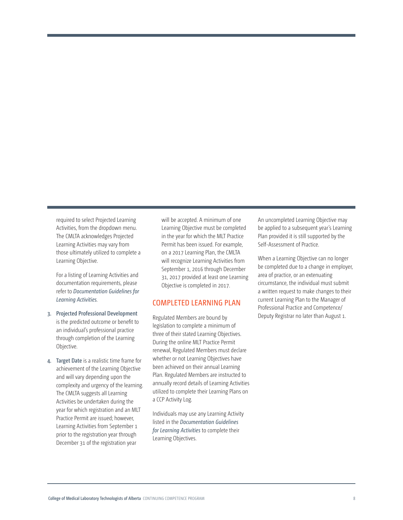required to select Projected Learning Activities, from the dropdown menu. The CMLTA acknowledges Projected Learning Activities may vary from those ultimately utilized to complete a Learning Objective.

For a listing of Learning Activities and documentation requirements, please refer to *Documentation Guidelines for Learning Activities.*

- **3. Projected Professional Development**  is the predicted outcome or benefit to an individual's professional practice through completion of the Learning Objective.
- **4. Target Date** is a realistic time frame for achievement of the Learning Objective and will vary depending upon the complexity and urgency of the learning. The CMLTA suggests all Learning Activities be undertaken during the year for which registration and an MLT Practice Permit are issued; however, Learning Activities from September 1 prior to the registration year through December 31 of the registration year

will be accepted. A minimum of one Learning Objective must be completed in the year for which the MLT Practice Permit has been issued. For example, on a 2017 Learning Plan, the CMLTA will recognize Learning Activities from September 1, 2016 through December 31, 2017 provided at least one Learning Objective is completed in 2017.

### COMPLETED LEARNING PLAN

Regulated Members are bound by legislation to complete a minimum of three of their stated Learning Objectives. During the online MLT Practice Permit renewal, Regulated Members must declare whether or not Learning Objectives have been achieved on their annual Learning Plan. Regulated Members are instructed to annually record details of Learning Activities utilized to complete their Learning Plans on a CCP Activity Log.

Individuals may use any Learning Activity listed in the *Documentation Guidelines for Learning Activities* to complete their Learning Objectives.

An uncompleted Learning Objective may be applied to a subsequent year's Learning Plan provided it is still supported by the Self-Assessment of Practice.

When a Learning Objective can no longer be completed due to a change in employer, area of practice, or an extenuating circumstance, the individual must submit a written request to make changes to their current Learning Plan to the Manager of Professional Practice and Competence/ Deputy Registrar no later than August 1.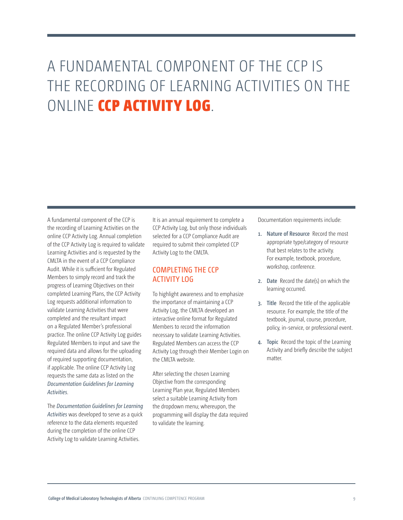# A FUNDAMENTAL COMPONENT OF THE CCP IS THE RECORDING OF LEARNING ACTIVITIES ON THE ONLINE CCP ACTIVITY LOG.

A fundamental component of the CCP is the recording of Learning Activities on the online CCP Activity Log. Annual completion of the CCP Activity Log is required to validate Learning Activities and is requested by the CMLTA in the event of a CCP Compliance Audit. While it is sufficient for Regulated Members to simply record and track the progress of Learning Objectives on their completed Learning Plans, the CCP Activity Log requests additional information to validate Learning Activities that were completed and the resultant impact on a Regulated Member's professional practice. The online CCP Activity Log guides Regulated Members to input and save the required data and allows for the uploading of required supporting documentation, if applicable. The online CCP Activity Log requests the same data as listed on the *Documentation Guidelines for Learning Activities*.

The *Documentation Guidelines for Learning Activities* was developed to serve as a quick reference to the data elements requested during the completion of the online CCP Activity Log to validate Learning Activities.

It is an annual requirement to complete a CCP Activity Log, but only those individuals selected for a CCP Compliance Audit are required to submit their completed CCP Activity Log to the CMLTA.

# COMPLETING THE CCP ACTIVITY LOG

To highlight awareness and to emphasize the importance of maintaining a CCP Activity Log, the CMLTA developed an interactive online format for Regulated Members to record the information necessary to validate Learning Activities. Regulated Members can access the CCP Activity Log through their Member Login on the CMLTA website.

After selecting the chosen Learning Objective from the corresponding Learning Plan year, Regulated Members select a suitable Learning Activity from the dropdown menu; whereupon, the programming will display the data required to validate the learning.

Documentation requirements include:

- **1. Nature of Resource** Record the most appropriate type/category of resource that best relates to the activity. For example, textbook, procedure, workshop, conference.
- **2. Date** Record the date(s) on which the learning occurred.
- **3. Title** Record the title of the applicable resource. For example, the title of the textbook, journal, course, procedure, policy, in-service, or professional event.
- **4. Topic** Record the topic of the Learning Activity and briefly describe the subject matter.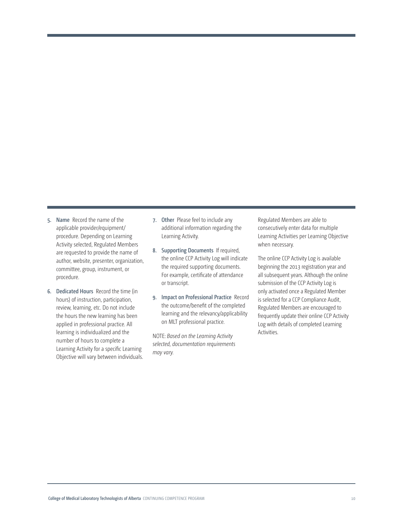- **5. Name** Record the name of the applicable provider/equipment/ procedure. Depending on Learning Activity selected, Regulated Members are requested to provide the name of author, website, presenter, organization, committee, group, instrument, or procedure.
- **6. Dedicated Hours** Record the time (in hours) of instruction, participation, review, learning, etc. Do not include the hours the new learning has been applied in professional practice. All learning is individualized and the number of hours to complete a Learning Activity for a specific Learning Objective will vary between individuals.
- **7. Other** Please feel to include any additional information regarding the Learning Activity.
- **8. Supporting Documents** If required, the online CCP Activity Log will indicate the required supporting documents. For example, certificate of attendance or transcript.
- **9. Impact on Professional Practice** Record the outcome/benefit of the completed learning and the relevancy/applicability on MLT professional practice.

NOTE: *Based on the Learning Activity selected, documentation requirements may vary.*

Regulated Members are able to consecutively enter data for multiple Learning Activities per Learning Objective when necessary.

The online CCP Activity Log is available beginning the 2013 registration year and all subsequent years. Although the online submission of the CCP Activity Log is only activated once a Regulated Member is selected for a CCP Compliance Audit, Regulated Members are encouraged to frequently update their online CCP Activity Log with details of completed Learning Activities.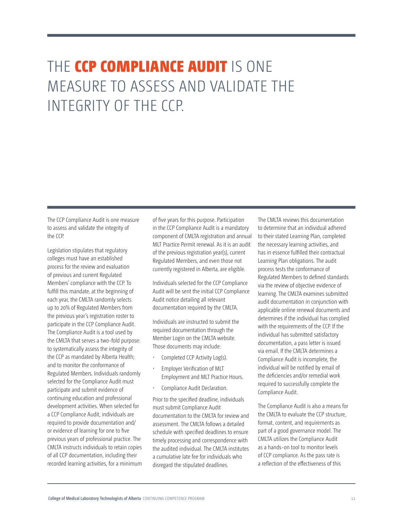# THE CCP COMPLIANCE AUDIT IS ONE MEASURE TO ASSESS AND VALIDATE THE INTEGRITY OF THE CCP.

The CCP Compliance Audit is one measure to assess and validate the integrity of the CCP.

Legislation stipulates that regulatory colleges must have an established process for the review and evaluation of previous and current Regulated Members' compliance with the CCP. To fulfill this mandate, at the beginning of each year, the CMLTA randomly selects up to 20% of Regulated Members from the previous year's registration roster to participate in the CCP Compliance Audit. The Compliance Audit is a tool used by the CMLTA that serves a two-fold purpose: to systematically assess the integrity of the CCP as mandated by Alberta Health; and to monitor the conformance of Regulated Members. Individuals randomly selected for the Compliance Audit must participate and submit evidence of continuing education and professional development activities. When selected for a CCP Compliance Audit, individuals are required to provide documentation and/ or evidence of learning for one to five previous years of professional practice. The CMLTA instructs individuals to retain copies of all CCP documentation, including their recorded learning activities, for a minimum

of five years for this purpose. Participation in the CCP Compliance Audit is a mandatory component of CMLTA registration and annual MLT Practice Permit renewal. As it is an audit of the previous registration year(s), current Regulated Members, and even those not currently registered in Alberta, are eligible.

Individuals selected for the CCP Compliance Audit will be sent the initial CCP Compliance Audit notice detailing all relevant documentation required by the CMLTA.

Individuals are instructed to submit the required documentation through the Member Login on the CMLTA website. Those documents may include:

- Completed CCP Activity Log(s).
- Employer Verification of MLT Employment and MLT Practice Hours.
- Compliance Audit Declaration.

Prior to the specified deadline, individuals must submit Compliance Audit documentation to the CMLTA for review and assessment. The CMLTA follows a detailed schedule with specified deadlines to ensure timely processing and correspondence with the audited individual. The CMLTA institutes a cumulative late fee for individuals who disregard the stipulated deadlines.

The CMLTA reviews this documentation to determine that an individual adhered to their stated Learning Plan, completed the necessary learning activities, and has in essence fulfilled their contractual Learning Plan obligations. The audit process tests the conformance of Regulated Members to defined standards via the review of objective evidence of learning. The CMLTA examines submitted audit documentation in conjunction with applicable online renewal documents and determines if the individual has complied with the requirements of the CCP. If the individual has submitted satisfactory documentation, a pass letter is issued via email. If the CMLTA determines a Compliance Audit is incomplete, the individual will be notified by email of the deficiencies and/or remedial work required to successfully complete the Compliance Audit.

The Compliance Audit is also a means for the CMLTA to evaluate the CCP structure, format, content, and requirements as part of a good governance model. The CMLTA utilizes the Compliance Audit as a hands-on tool to monitor levels of CCP compliance. As the pass rate is a reflection of the effectiveness of this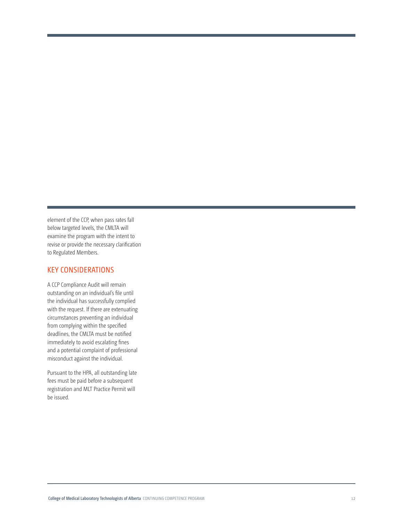element of the CCP, when pass rates fall below targeted levels, the CMLTA will examine the program with the intent to revise or provide the necessary clarification to Regulated Members.

## KEY CONSIDERATIONS

A CCP Compliance Audit will remain outstanding on an individual's file until the individual has successfully complied with the request. If there are extenuating circumstances preventing an individual from complying within the specified deadlines, the CMLTA must be notified immediately to avoid escalating fines and a potential complaint of professional misconduct against the individual.

Pursuant to the HPA, all outstanding late fees must be paid before a subsequent registration and MLT Practice Permit will be issued.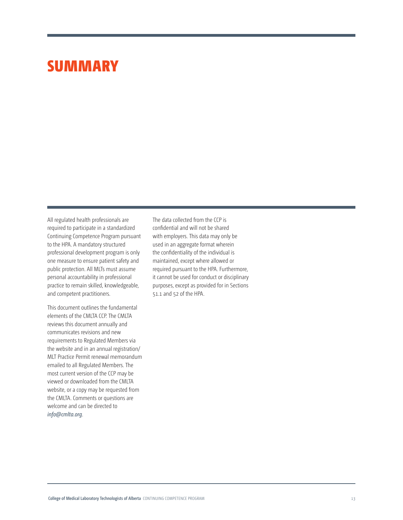# **SUMMARY**

All regulated health professionals are required to participate in a standardized Continuing Competence Program pursuant to the HPA. A mandatory structured professional development program is only one measure to ensure patient safety and public protection. All MLTs must assume personal accountability in professional practice to remain skilled, knowledgeable, and competent practitioners.

This document outlines the fundamental elements of the CMLTA CCP. The CMLTA reviews this document annually and communicates revisions and new requirements to Regulated Members via the website and in an annual registration/ MLT Practice Permit renewal memorandum emailed to all Regulated Members. The most current version of the CCP may be viewed or downloaded from the CMLTA website, or a copy may be requested from the CMLTA. Comments or questions are welcome and can be directed to *[info@cmlta.org](mailto:?subject=)*.

The data collected from the CCP is confidential and will not be shared with employers. This data may only be used in an aggregate format wherein the confidentiality of the individual is maintained, except where allowed or required pursuant to the HPA. Furthermore, it cannot be used for conduct or disciplinary purposes, except as provided for in Sections 51.1 and 52 of the HPA.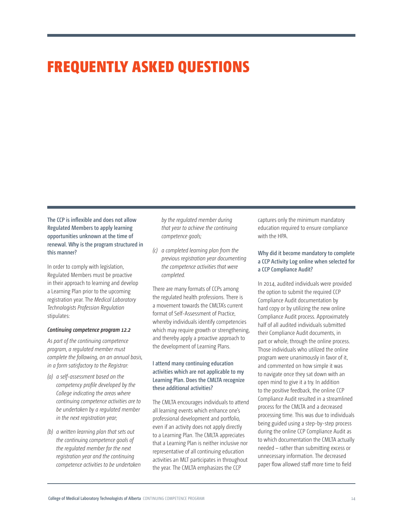# FREQUENTLY ASKED QUESTIONS

**The CCP is inflexible and does not allow Regulated Members to apply learning opportunities unknown at the time of renewal. Why is the program structured in this manner?**

In order to comply with legislation, Regulated Members must be proactive in their approach to learning and develop a Learning Plan prior to the upcoming registration year. The *Medical Laboratory Technologists Profession Regulation* stipulates:

#### *Continuing competence program 12.2*

*As part of the continuing competence program, a regulated member must complete the following, on an annual basis, in a form satisfactory to the Registrar:*

- *(a) a self-assessment based on the competency profile developed by the College indicating the areas where continuing competence activities are to be undertaken by a regulated member in the next registration year;*
- *(b) a written learning plan that sets out the continuing competence goals of the regulated member for the next registration year and the continuing competence activities to be undertaken*

*by the regulated member during that year to achieve the continuing competence goals;*

*(c) a completed learning plan from the previous registration year documenting the competence activities that were completed.*

There are many formats of CCPs among the regulated health professions. There is a movement towards the CMLTA's current format of Self-Assessment of Practice, whereby individuals identify competencies which may require growth or strengthening, and thereby apply a proactive approach to the development of Learning Plans.

### **I attend many continuing education activities which are not applicable to my Learning Plan. Does the CMLTA recognize these additional activities?**

The CMLTA encourages individuals to attend all learning events which enhance one's professional development and portfolio, even if an activity does not apply directly to a Learning Plan. The CMLTA appreciates that a Learning Plan is neither inclusive nor representative of all continuing education activities an MLT participates in throughout the year. The CMLTA emphasizes the CCP

captures only the minimum mandatory education required to ensure compliance with the HPA.

### **Why did it become mandatory to complete a CCP Activity Log online when selected for a CCP Compliance Audit?**

In 2014, audited individuals were provided the option to submit the required CCP Compliance Audit documentation by hard copy or by utilizing the new online Compliance Audit process. Approximately half of all audited individuals submitted their Compliance Audit documents, in part or whole, through the online process. Those individuals who utilized the online program were unanimously in favor of it, and commented on how simple it was to navigate once they sat down with an open mind to give it a try. In addition to the positive feedback, the online CCP Compliance Audit resulted in a streamlined process for the CMLTA and a decreased processing time. This was due to individuals being guided using a step-by-step process during the online CCP Compliance Audit as to which documentation the CMLTA actually needed – rather than submitting excess or unnecessary information. The decreased paper flow allowed staff more time to field